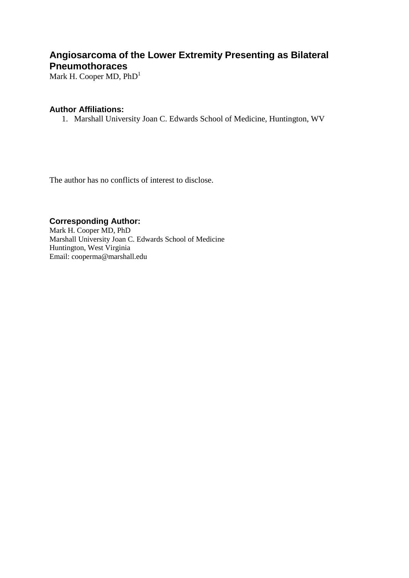# **Angiosarcoma of the Lower Extremity Presenting as Bilateral Pneumothoraces**

Mark H. Cooper MD, PhD<sup>1</sup>

#### **Author Affiliations:**

1. Marshall University Joan C. Edwards School of Medicine, Huntington, WV

The author has no conflicts of interest to disclose.

## **Corresponding Author:**

Mark H. Cooper MD, PhD Marshall University Joan C. Edwards School of Medicine Huntington, West Virginia Email: cooperma@marshall.edu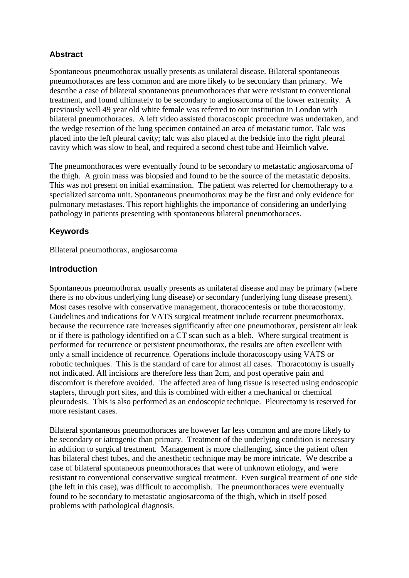## **Abstract**

Spontaneous pneumothorax usually presents as unilateral disease. Bilateral spontaneous pneumothoraces are less common and are more likely to be secondary than primary. We describe a case of bilateral spontaneous pneumothoraces that were resistant to conventional treatment, and found ultimately to be secondary to angiosarcoma of the lower extremity. A previously well 49 year old white female was referred to our institution in London with bilateral pneumothoraces. A left video assisted thoracoscopic procedure was undertaken, and the wedge resection of the lung specimen contained an area of metastatic tumor. Talc was placed into the left pleural cavity; talc was also placed at the bedside into the right pleural cavity which was slow to heal, and required a second chest tube and Heimlich valve.

The pneumonthoraces were eventually found to be secondary to metastatic angiosarcoma of the thigh. A groin mass was biopsied and found to be the source of the metastatic deposits. This was not present on initial examination. The patient was referred for chemotherapy to a specialized sarcoma unit. Spontaneous pneumothorax may be the first and only evidence for pulmonary metastases. This report highlights the importance of considering an underlying pathology in patients presenting with spontaneous bilateral pneumothoraces.

## **Keywords**

Bilateral pneumothorax, angiosarcoma

## **Introduction**

Spontaneous pneumothorax usually presents as unilateral disease and may be primary (where there is no obvious underlying lung disease) or secondary (underlying lung disease present). Most cases resolve with conservative management, thoracocentesis or tube thoracostomy. Guidelines and indications for VATS surgical treatment include recurrent pneumothorax, because the recurrence rate increases significantly after one pneumothorax, persistent air leak or if there is pathology identified on a CT scan such as a bleb. Where surgical treatment is performed for recurrence or persistent pneumothorax, the results are often excellent with only a small incidence of recurrence. Operations include thoracoscopy using VATS or robotic techniques. This is the standard of care for almost all cases. Thoracotomy is usually not indicated. All incisions are therefore less than 2cm, and post operative pain and discomfort is therefore avoided. The affected area of lung tissue is resected using endoscopic staplers, through port sites, and this is combined with either a mechanical or chemical pleurodesis. This is also performed as an endoscopic technique. Pleurectomy is reserved for more resistant cases.

Bilateral spontaneous pneumothoraces are however far less common and are more likely to be secondary or iatrogenic than primary. Treatment of the underlying condition is necessary in addition to surgical treatment. Management is more challenging, since the patient often has bilateral chest tubes, and the anesthetic technique may be more intricate. We describe a case of bilateral spontaneous pneumothoraces that were of unknown etiology, and were resistant to conventional conservative surgical treatment. Even surgical treatment of one side (the left in this case), was difficult to accomplish. The pneumonthoraces were eventually found to be secondary to metastatic angiosarcoma of the thigh, which in itself posed problems with pathological diagnosis.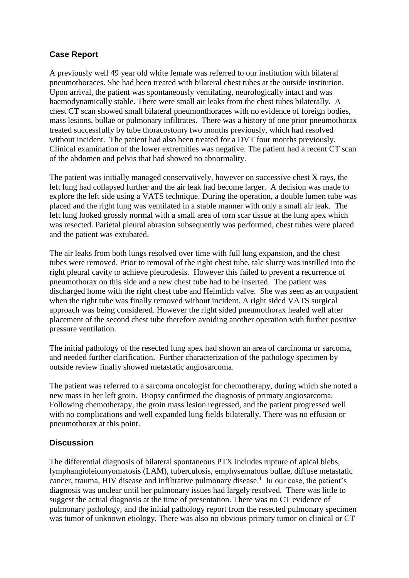## **Case Report**

A previously well 49 year old white female was referred to our institution with bilateral pneumothoraces. She had been treated with bilateral chest tubes at the outside institution. Upon arrival, the patient was spontaneously ventilating, neurologically intact and was haemodynamically stable. There were small air leaks from the chest tubes bilaterally. A chest CT scan showed small bilateral pneumonthoraces with no evidence of foreign bodies, mass lesions, bullae or pulmonary infiltrates. There was a history of one prior pneumothorax treated successfully by tube thoracostomy two months previously, which had resolved without incident. The patient had also been treated for a DVT four months previously. Clinical examination of the lower extremities was negative. The patient had a recent CT scan of the abdomen and pelvis that had showed no abnormality.

The patient was initially managed conservatively, however on successive chest X rays, the left lung had collapsed further and the air leak had become larger. A decision was made to explore the left side using a VATS technique. During the operation, a double lumen tube was placed and the right lung was ventilated in a stable manner with only a small air leak. The left lung looked grossly normal with a small area of torn scar tissue at the lung apex which was resected. Parietal pleural abrasion subsequently was performed, chest tubes were placed and the patient was extubated.

The air leaks from both lungs resolved over time with full lung expansion, and the chest tubes were removed. Prior to removal of the right chest tube, talc slurry was instilled into the right pleural cavity to achieve pleurodesis. However this failed to prevent a recurrence of pneumothorax on this side and a new chest tube had to be inserted. The patient was discharged home with the right chest tube and Heimlich valve. She was seen as an outpatient when the right tube was finally removed without incident. A right sided VATS surgical approach was being considered. However the right sided pneumothorax healed well after placement of the second chest tube therefore avoiding another operation with further positive pressure ventilation.

The initial pathology of the resected lung apex had shown an area of carcinoma or sarcoma, and needed further clarification. Further characterization of the pathology specimen by outside review finally showed metastatic angiosarcoma.

The patient was referred to a sarcoma oncologist for chemotherapy, during which she noted a new mass in her left groin. Biopsy confirmed the diagnosis of primary angiosarcoma. Following chemotherapy, the groin mass lesion regressed, and the patient progressed well with no complications and well expanded lung fields bilaterally. There was no effusion or pneumothorax at this point.

## **Discussion**

The differential diagnosis of bilateral spontaneous PTX includes rupture of apical blebs, lymphangioleiomyomatosis (LAM), tuberculosis, emphysematous bullae, diffuse metastatic cancer, trauma, HIV disease and infiltrative pulmonary disease.<sup>1</sup> In our case, the patient's diagnosis was unclear until her pulmonary issues had largely resolved. There was little to suggest the actual diagnosis at the time of presentation. There was no CT evidence of pulmonary pathology, and the initial pathology report from the resected pulmonary specimen was tumor of unknown etiology. There was also no obvious primary tumor on clinical or CT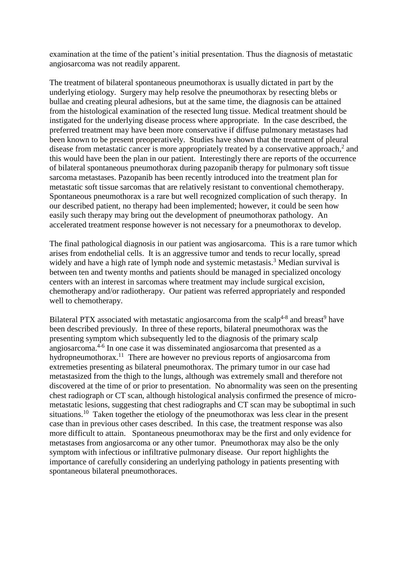examination at the time of the patient's initial presentation. Thus the diagnosis of metastatic angiosarcoma was not readily apparent.

The treatment of bilateral spontaneous pneumothorax is usually dictated in part by the underlying etiology. Surgery may help resolve the pneumothorax by resecting blebs or bullae and creating pleural adhesions, but at the same time, the diagnosis can be attained from the histological examination of the resected lung tissue. Medical treatment should be instigated for the underlying disease process where appropriate. In the case described, the preferred treatment may have been more conservative if diffuse pulmonary metastases had been known to be present preoperatively. Studies have shown that the treatment of pleural disease from metastatic cancer is more appropriately treated by a conservative approach, $2$  and this would have been the plan in our patient. Interestingly there are reports of the occurrence of bilateral spontaneous pneumothorax during pazopanib therapy for pulmonary soft tissue sarcoma metastases. Pazopanib has been recently introduced into the treatment plan for metastatic soft tissue sarcomas that are relatively resistant to conventional chemotherapy. Spontaneous pneumothorax is a rare but well recognized complication of such therapy. In our described patient, no therapy had been implemented; however, it could be seen how easily such therapy may bring out the development of pneumothorax pathology. An accelerated treatment response however is not necessary for a pneumothorax to develop.

The final pathological diagnosis in our patient was angiosarcoma. This is a rare tumor which arises from endothelial cells. It is an aggressive tumor and tends to recur locally, spread widely and have a high rate of lymph node and systemic metastasis.<sup>3</sup> Median survival is between ten and twenty months and patients should be managed in specialized oncology centers with an interest in sarcomas where treatment may include surgical excision, chemotherapy and/or radiotherapy. Our patient was referred appropriately and responded well to chemotherapy.

Bilateral PTX associated with metastatic angiosarcoma from the scalp<sup>4-8</sup> and breast<sup>9</sup> have been described previously. In three of these reports, bilateral pneumothorax was the presenting symptom which subsequently led to the diagnosis of the primary scalp angiosarcoma. 4-6 In one case it was disseminated angiosarcoma that presented as a hydropneumothorax.<sup>11</sup> There are however no previous reports of angiosarcoma from extremeties presenting as bilateral pneumothorax. The primary tumor in our case had metastasized from the thigh to the lungs, although was extremely small and therefore not discovered at the time of or prior to presentation. No abnormality was seen on the presenting chest radiograph or CT scan, although histological analysis confirmed the presence of micrometastatic lesions, suggesting that chest radiographs and CT scan may be suboptimal in such situations.<sup>10</sup> Taken together the etiology of the pneumothorax was less clear in the present case than in previous other cases described. In this case, the treatment response was also more difficult to attain. Spontaneous pneumothorax may be the first and only evidence for metastases from angiosarcoma or any other tumor. Pneumothorax may also be the only symptom with infectious or infiltrative pulmonary disease. Our report highlights the importance of carefully considering an underlying pathology in patients presenting with spontaneous bilateral pneumothoraces.